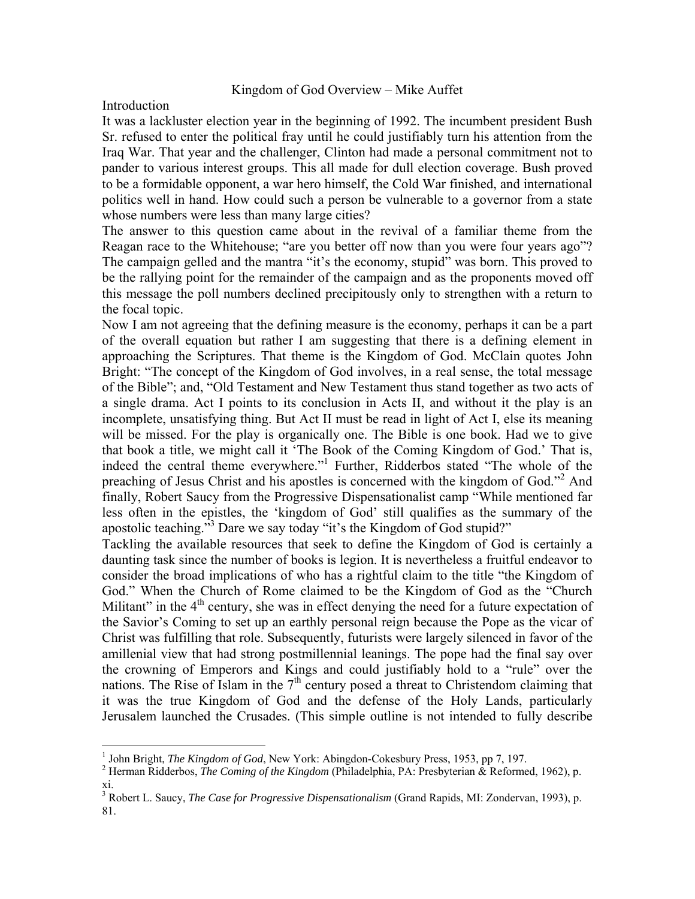## Kingdom of God Overview – Mike Auffet

Introduction

It was a lackluster election year in the beginning of 1992. The incumbent president Bush Sr. refused to enter the political fray until he could justifiably turn his attention from the Iraq War. That year and the challenger, Clinton had made a personal commitment not to pander to various interest groups. This all made for dull election coverage. Bush proved to be a formidable opponent, a war hero himself, the Cold War finished, and international politics well in hand. How could such a person be vulnerable to a governor from a state whose numbers were less than many large cities?

The answer to this question came about in the revival of a familiar theme from the Reagan race to the Whitehouse; "are you better off now than you were four years ago"? The campaign gelled and the mantra "it's the economy, stupid" was born. This proved to be the rallying point for the remainder of the campaign and as the proponents moved off this message the poll numbers declined precipitously only to strengthen with a return to the focal topic.

Now I am not agreeing that the defining measure is the economy, perhaps it can be a part of the overall equation but rather I am suggesting that there is a defining element in approaching the Scriptures. That theme is the Kingdom of God. McClain quotes John Bright: "The concept of the Kingdom of God involves, in a real sense, the total message of the Bible"; and, "Old Testament and New Testament thus stand together as two acts of a single drama. Act I points to its conclusion in Acts II, and without it the play is an incomplete, unsatisfying thing. But Act II must be read in light of Act I, else its meaning will be missed. For the play is organically one. The Bible is one book. Had we to give that book a title, we might call it 'The Book of the Coming Kingdom of God.' That is, indeed the central theme everywhere."<sup>1</sup> Further, Ridderbos stated "The whole of the preaching of Jesus Christ and his apostles is concerned with the kingdom of God."<sup>2</sup> And finally, Robert Saucy from the Progressive Dispensationalist camp "While mentioned far less often in the epistles, the 'kingdom of God' still qualifies as the summary of the apostolic teaching."<sup>3</sup> Dare we say today "it's the Kingdom of God stupid?"

Tackling the available resources that seek to define the Kingdom of God is certainly a daunting task since the number of books is legion. It is nevertheless a fruitful endeavor to consider the broad implications of who has a rightful claim to the title "the Kingdom of God." When the Church of Rome claimed to be the Kingdom of God as the "Church Militant" in the  $4<sup>th</sup>$  century, she was in effect denying the need for a future expectation of the Savior's Coming to set up an earthly personal reign because the Pope as the vicar of Christ was fulfilling that role. Subsequently, futurists were largely silenced in favor of the amillenial view that had strong postmillennial leanings. The pope had the final say over the crowning of Emperors and Kings and could justifiably hold to a "rule" over the nations. The Rise of Islam in the  $7<sup>th</sup>$  century posed a threat to Christendom claiming that it was the true Kingdom of God and the defense of the Holy Lands, particularly Jerusalem launched the Crusades. (This simple outline is not intended to fully describe

<sup>&</sup>lt;sup>1</sup> John Bright, *The Kingdom of God*, New York: Abingdon-Cokesbury Press, 1953, pp 7, 197.

<sup>&</sup>lt;sup>2</sup> Herman Ridderbos, *The Coming of the Kingdom* (Philadelphia, PA: Presbyterian & Reformed, 1962), p.

xi. 3 Robert L. Saucy, *The Case for Progressive Dispensationalism* (Grand Rapids, MI: Zondervan, 1993), p. 81.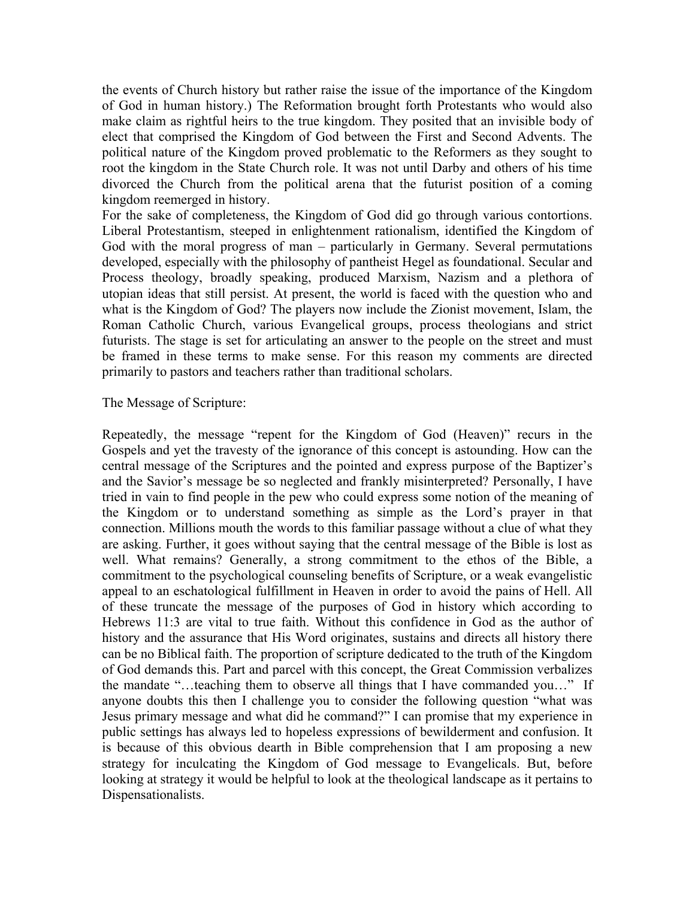the events of Church history but rather raise the issue of the importance of the Kingdom of God in human history.) The Reformation brought forth Protestants who would also make claim as rightful heirs to the true kingdom. They posited that an invisible body of elect that comprised the Kingdom of God between the First and Second Advents. The political nature of the Kingdom proved problematic to the Reformers as they sought to root the kingdom in the State Church role. It was not until Darby and others of his time divorced the Church from the political arena that the futurist position of a coming kingdom reemerged in history.

For the sake of completeness, the Kingdom of God did go through various contortions. Liberal Protestantism, steeped in enlightenment rationalism, identified the Kingdom of God with the moral progress of man – particularly in Germany. Several permutations developed, especially with the philosophy of pantheist Hegel as foundational. Secular and Process theology, broadly speaking, produced Marxism, Nazism and a plethora of utopian ideas that still persist. At present, the world is faced with the question who and what is the Kingdom of God? The players now include the Zionist movement, Islam, the Roman Catholic Church, various Evangelical groups, process theologians and strict futurists. The stage is set for articulating an answer to the people on the street and must be framed in these terms to make sense. For this reason my comments are directed primarily to pastors and teachers rather than traditional scholars.

#### The Message of Scripture:

Repeatedly, the message "repent for the Kingdom of God (Heaven)" recurs in the Gospels and yet the travesty of the ignorance of this concept is astounding. How can the central message of the Scriptures and the pointed and express purpose of the Baptizer's and the Savior's message be so neglected and frankly misinterpreted? Personally, I have tried in vain to find people in the pew who could express some notion of the meaning of the Kingdom or to understand something as simple as the Lord's prayer in that connection. Millions mouth the words to this familiar passage without a clue of what they are asking. Further, it goes without saying that the central message of the Bible is lost as well. What remains? Generally, a strong commitment to the ethos of the Bible, a commitment to the psychological counseling benefits of Scripture, or a weak evangelistic appeal to an eschatological fulfillment in Heaven in order to avoid the pains of Hell. All of these truncate the message of the purposes of God in history which according to Hebrews 11:3 are vital to true faith. Without this confidence in God as the author of history and the assurance that His Word originates, sustains and directs all history there can be no Biblical faith. The proportion of scripture dedicated to the truth of the Kingdom of God demands this. Part and parcel with this concept, the Great Commission verbalizes the mandate "…teaching them to observe all things that I have commanded you…" If anyone doubts this then I challenge you to consider the following question "what was Jesus primary message and what did he command?" I can promise that my experience in public settings has always led to hopeless expressions of bewilderment and confusion. It is because of this obvious dearth in Bible comprehension that I am proposing a new strategy for inculcating the Kingdom of God message to Evangelicals. But, before looking at strategy it would be helpful to look at the theological landscape as it pertains to Dispensationalists.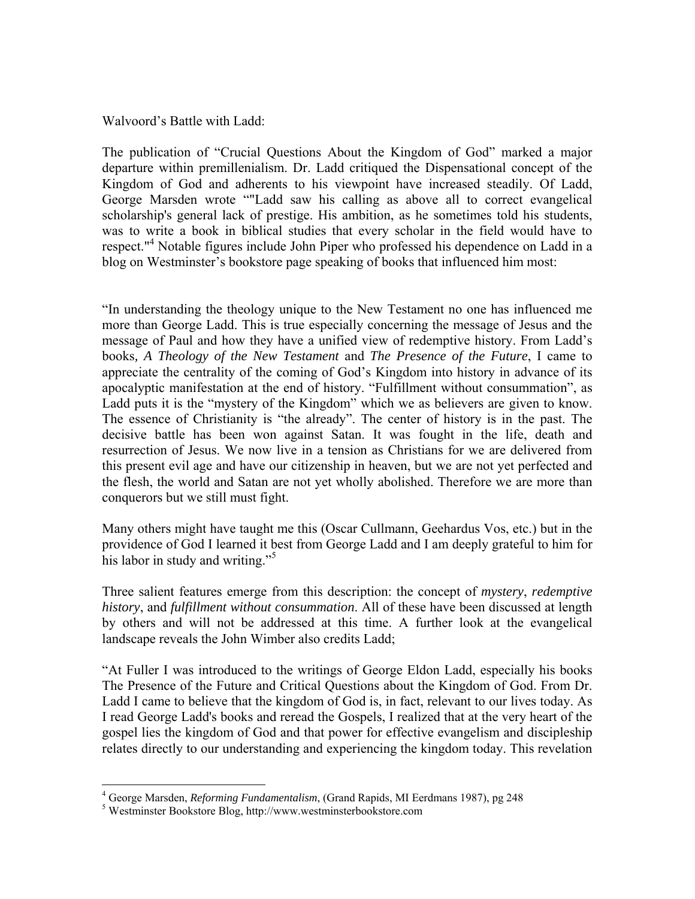Walvoord's Battle with Ladd:

The publication of "Crucial Questions About the Kingdom of God" marked a major departure within premillenialism. Dr. Ladd critiqued the Dispensational concept of the Kingdom of God and adherents to his viewpoint have increased steadily. Of Ladd, George Marsden wrote ""Ladd saw his calling as above all to correct evangelical scholarship's general lack of prestige. His ambition, as he sometimes told his students, was to write a book in biblical studies that every scholar in the field would have to respect."<sup>4</sup> Notable figures include John Piper who professed his dependence on Ladd in a blog on Westminster's bookstore page speaking of books that influenced him most:

"In understanding the theology unique to the New Testament no one has influenced me more than George Ladd. This is true especially concerning the message of Jesus and the message of Paul and how they have a unified view of redemptive history. From Ladd's books*, A Theology of the New Testament* and *The Presence of the Future*, I came to appreciate the centrality of the coming of God's Kingdom into history in advance of its apocalyptic manifestation at the end of history. "Fulfillment without consummation", as Ladd puts it is the "mystery of the Kingdom" which we as believers are given to know. The essence of Christianity is "the already". The center of history is in the past. The decisive battle has been won against Satan. It was fought in the life, death and resurrection of Jesus. We now live in a tension as Christians for we are delivered from this present evil age and have our citizenship in heaven, but we are not yet perfected and the flesh, the world and Satan are not yet wholly abolished. Therefore we are more than conquerors but we still must fight.

Many others might have taught me this (Oscar Cullmann, Geehardus Vos, etc.) but in the providence of God I learned it best from George Ladd and I am deeply grateful to him for his labor in study and writing."<sup>5</sup>

Three salient features emerge from this description: the concept of *mystery*, *redemptive history*, and *fulfillment without consummation*. All of these have been discussed at length by others and will not be addressed at this time. A further look at the evangelical landscape reveals the John Wimber also credits Ladd;

"At Fuller I was introduced to the writings of George Eldon Ladd, especially his books The Presence of the Future and Critical Questions about the Kingdom of God. From Dr. Ladd I came to believe that the kingdom of God is, in fact, relevant to our lives today. As I read George Ladd's books and reread the Gospels, I realized that at the very heart of the gospel lies the kingdom of God and that power for effective evangelism and discipleship relates directly to our understanding and experiencing the kingdom today. This revelation

1

<sup>&</sup>lt;sup>4</sup> George Marsden, *Reforming Fundamentalism*, (Grand Rapids, MI Eerdmans 1987), pg 248<br><sup>5</sup> Westminster Bookstore Blog, http://www.westminsterbookstore.com

Westminster Bookstore Blog, http://www.westminsterbookstore.com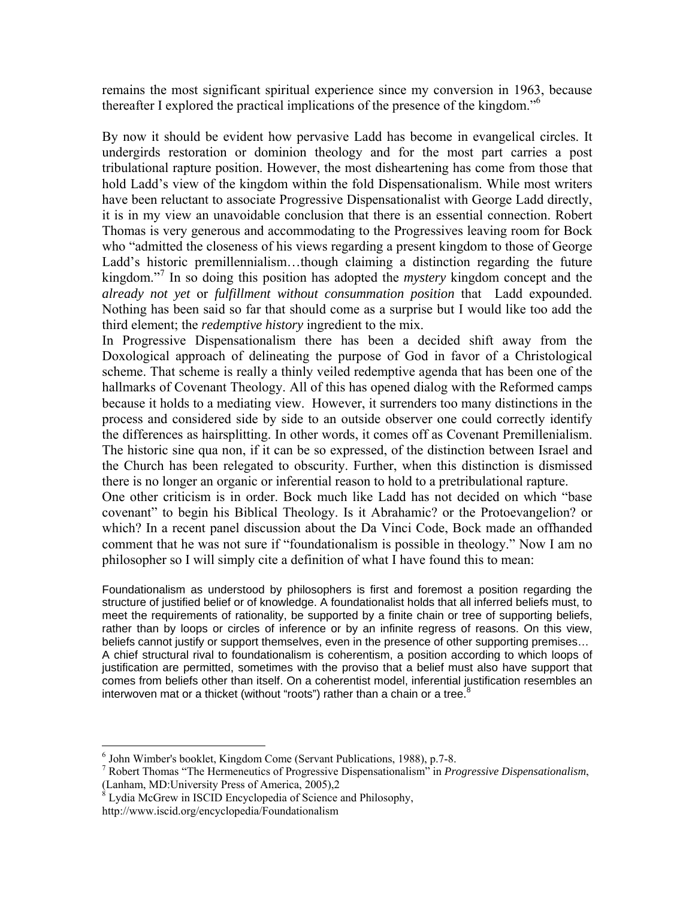remains the most significant spiritual experience since my conversion in 1963, because thereafter I explored the practical implications of the presence of the kingdom."6

By now it should be evident how pervasive Ladd has become in evangelical circles. It undergirds restoration or dominion theology and for the most part carries a post tribulational rapture position. However, the most disheartening has come from those that hold Ladd's view of the kingdom within the fold Dispensationalism. While most writers have been reluctant to associate Progressive Dispensationalist with George Ladd directly, it is in my view an unavoidable conclusion that there is an essential connection. Robert Thomas is very generous and accommodating to the Progressives leaving room for Bock who "admitted the closeness of his views regarding a present kingdom to those of George Ladd's historic premillennialism…though claiming a distinction regarding the future kingdom."<sup>7</sup> In so doing this position has adopted the *mystery* kingdom concept and the *already not yet* or *fulfillment without consummation position* that Ladd expounded. Nothing has been said so far that should come as a surprise but I would like too add the third element; the *redemptive history* ingredient to the mix.

In Progressive Dispensationalism there has been a decided shift away from the Doxological approach of delineating the purpose of God in favor of a Christological scheme. That scheme is really a thinly veiled redemptive agenda that has been one of the hallmarks of Covenant Theology. All of this has opened dialog with the Reformed camps because it holds to a mediating view. However, it surrenders too many distinctions in the process and considered side by side to an outside observer one could correctly identify the differences as hairsplitting. In other words, it comes off as Covenant Premillenialism. The historic sine qua non, if it can be so expressed, of the distinction between Israel and the Church has been relegated to obscurity. Further, when this distinction is dismissed there is no longer an organic or inferential reason to hold to a pretribulational rapture.

One other criticism is in order. Bock much like Ladd has not decided on which "base covenant" to begin his Biblical Theology. Is it Abrahamic? or the Protoevangelion? or which? In a recent panel discussion about the Da Vinci Code, Bock made an offhanded comment that he was not sure if "foundationalism is possible in theology." Now I am no philosopher so I will simply cite a definition of what I have found this to mean:

Foundationalism as understood by philosophers is first and foremost a position regarding the structure of justified belief or of knowledge. A foundationalist holds that all inferred beliefs must, to meet the requirements of rationality, be supported by a finite chain or tree of supporting beliefs, rather than by loops or circles of inference or by an infinite regress of reasons. On this view, beliefs cannot justify or support themselves, even in the presence of other supporting premises… A chief structural rival to foundationalism is coherentism, a position according to which loops of justification are permitted, sometimes with the proviso that a belief must also have support that comes from beliefs other than itself. On a coherentist model, inferential justification resembles an interwoven mat or a thicket (without "roots") rather than a chain or a tree.<sup>8</sup>

 $\overline{a}$ 

<sup>6</sup> John Wimber's booklet, Kingdom Come (Servant Publications, 1988), p.7-8.

<sup>7</sup> Robert Thomas "The Hermeneutics of Progressive Dispensationalism" in *Progressive Dispensationalism*, (Lanham, MD:University Press of America, 2005),2

<sup>&</sup>lt;sup>8</sup> Lydia McGrew in ISCID Encyclopedia of Science and Philosophy,

http://www.iscid.org/encyclopedia/Foundationalism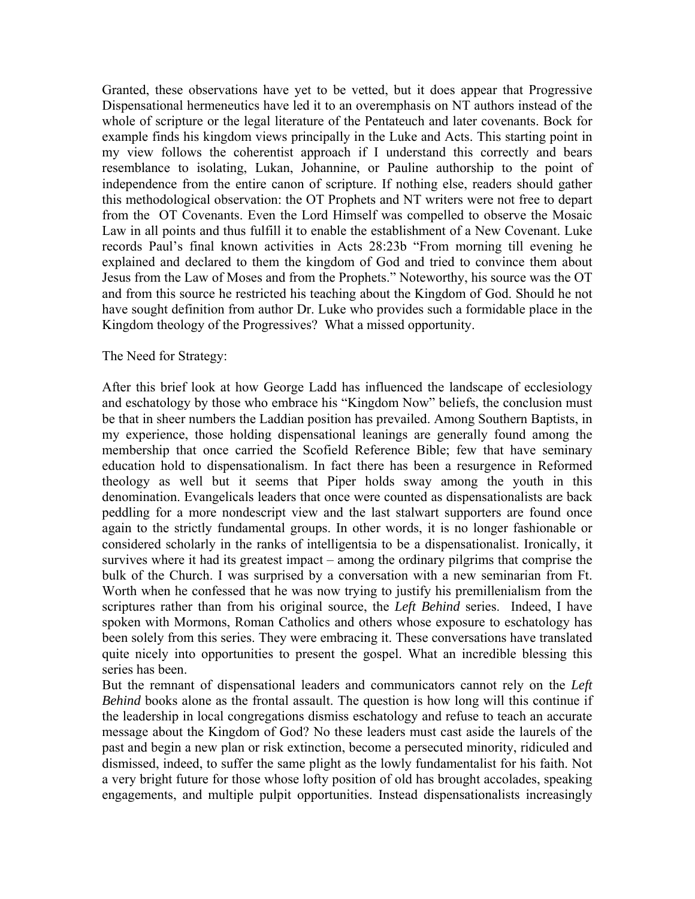Granted, these observations have yet to be vetted, but it does appear that Progressive Dispensational hermeneutics have led it to an overemphasis on NT authors instead of the whole of scripture or the legal literature of the Pentateuch and later covenants. Bock for example finds his kingdom views principally in the Luke and Acts. This starting point in my view follows the coherentist approach if I understand this correctly and bears resemblance to isolating, Lukan, Johannine, or Pauline authorship to the point of independence from the entire canon of scripture. If nothing else, readers should gather this methodological observation: the OT Prophets and NT writers were not free to depart from the OT Covenants. Even the Lord Himself was compelled to observe the Mosaic Law in all points and thus fulfill it to enable the establishment of a New Covenant. Luke records Paul's final known activities in Acts 28:23b "From morning till evening he explained and declared to them the kingdom of God and tried to convince them about Jesus from the Law of Moses and from the Prophets." Noteworthy, his source was the OT and from this source he restricted his teaching about the Kingdom of God. Should he not have sought definition from author Dr. Luke who provides such a formidable place in the Kingdom theology of the Progressives? What a missed opportunity.

#### The Need for Strategy:

After this brief look at how George Ladd has influenced the landscape of ecclesiology and eschatology by those who embrace his "Kingdom Now" beliefs, the conclusion must be that in sheer numbers the Laddian position has prevailed. Among Southern Baptists, in my experience, those holding dispensational leanings are generally found among the membership that once carried the Scofield Reference Bible; few that have seminary education hold to dispensationalism. In fact there has been a resurgence in Reformed theology as well but it seems that Piper holds sway among the youth in this denomination. Evangelicals leaders that once were counted as dispensationalists are back peddling for a more nondescript view and the last stalwart supporters are found once again to the strictly fundamental groups. In other words, it is no longer fashionable or considered scholarly in the ranks of intelligentsia to be a dispensationalist. Ironically, it survives where it had its greatest impact – among the ordinary pilgrims that comprise the bulk of the Church. I was surprised by a conversation with a new seminarian from Ft. Worth when he confessed that he was now trying to justify his premillenialism from the scriptures rather than from his original source, the *Left Behind* series.Indeed, I have spoken with Mormons, Roman Catholics and others whose exposure to eschatology has been solely from this series. They were embracing it. These conversations have translated quite nicely into opportunities to present the gospel. What an incredible blessing this series has been.

But the remnant of dispensational leaders and communicators cannot rely on the *Left Behind* books alone as the frontal assault. The question is how long will this continue if the leadership in local congregations dismiss eschatology and refuse to teach an accurate message about the Kingdom of God? No these leaders must cast aside the laurels of the past and begin a new plan or risk extinction, become a persecuted minority, ridiculed and dismissed, indeed, to suffer the same plight as the lowly fundamentalist for his faith. Not a very bright future for those whose lofty position of old has brought accolades, speaking engagements, and multiple pulpit opportunities. Instead dispensationalists increasingly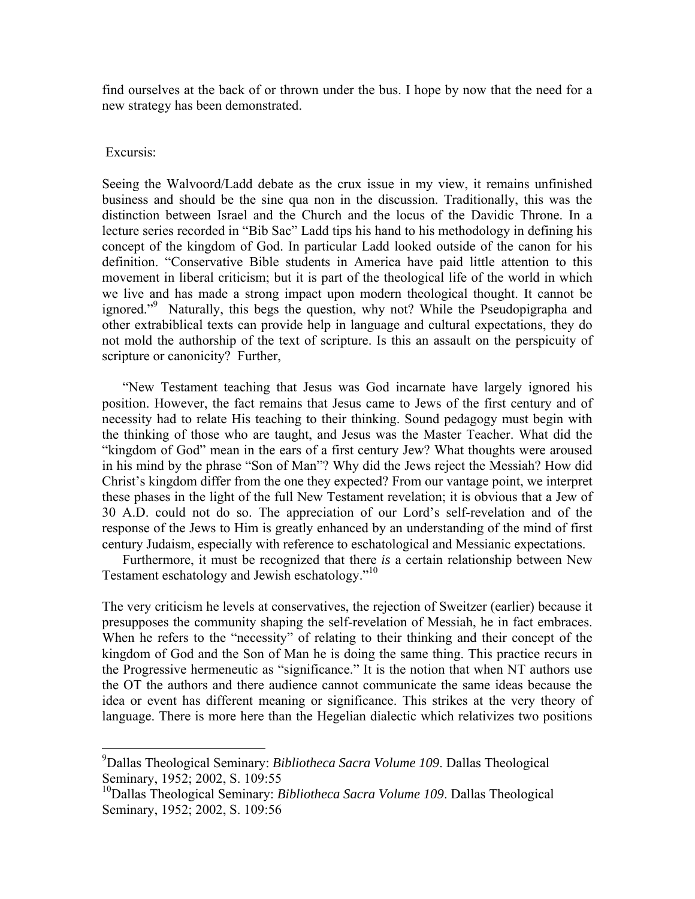find ourselves at the back of or thrown under the bus. I hope by now that the need for a new strategy has been demonstrated.

#### Excursis:

 $\overline{a}$ 

Seeing the Walvoord/Ladd debate as the crux issue in my view, it remains unfinished business and should be the sine qua non in the discussion. Traditionally, this was the distinction between Israel and the Church and the locus of the Davidic Throne. In a lecture series recorded in "Bib Sac" Ladd tips his hand to his methodology in defining his concept of the kingdom of God. In particular Ladd looked outside of the canon for his definition. "Conservative Bible students in America have paid little attention to this movement in liberal criticism; but it is part of the theological life of the world in which we live and has made a strong impact upon modern theological thought. It cannot be ignored."9 Naturally, this begs the question, why not? While the Pseudopigrapha and other extrabiblical texts can provide help in language and cultural expectations, they do not mold the authorship of the text of scripture. Is this an assault on the perspicuity of scripture or canonicity? Further,

"New Testament teaching that Jesus was God incarnate have largely ignored his position. However, the fact remains that Jesus came to Jews of the first century and of necessity had to relate His teaching to their thinking. Sound pedagogy must begin with the thinking of those who are taught, and Jesus was the Master Teacher. What did the "kingdom of God" mean in the ears of a first century Jew? What thoughts were aroused in his mind by the phrase "Son of Man"? Why did the Jews reject the Messiah? How did Christ's kingdom differ from the one they expected? From our vantage point, we interpret these phases in the light of the full New Testament revelation; it is obvious that a Jew of 30 A.D. could not do so. The appreciation of our Lord's self-revelation and of the response of the Jews to Him is greatly enhanced by an understanding of the mind of first century Judaism, especially with reference to eschatological and Messianic expectations.

Furthermore, it must be recognized that there *is* a certain relationship between New Testament eschatology and Jewish eschatology."<sup>10</sup>

The very criticism he levels at conservatives, the rejection of Sweitzer (earlier) because it presupposes the community shaping the self-revelation of Messiah, he in fact embraces. When he refers to the "necessity" of relating to their thinking and their concept of the kingdom of God and the Son of Man he is doing the same thing. This practice recurs in the Progressive hermeneutic as "significance." It is the notion that when NT authors use the OT the authors and there audience cannot communicate the same ideas because the idea or event has different meaning or significance. This strikes at the very theory of language. There is more here than the Hegelian dialectic which relativizes two positions

<sup>9</sup> Dallas Theological Seminary: *Bibliotheca Sacra Volume 109*. Dallas Theological Seminary, 1952; 2002, S. 109:55

<sup>10</sup>Dallas Theological Seminary: *Bibliotheca Sacra Volume 109*. Dallas Theological Seminary, 1952; 2002, S. 109:56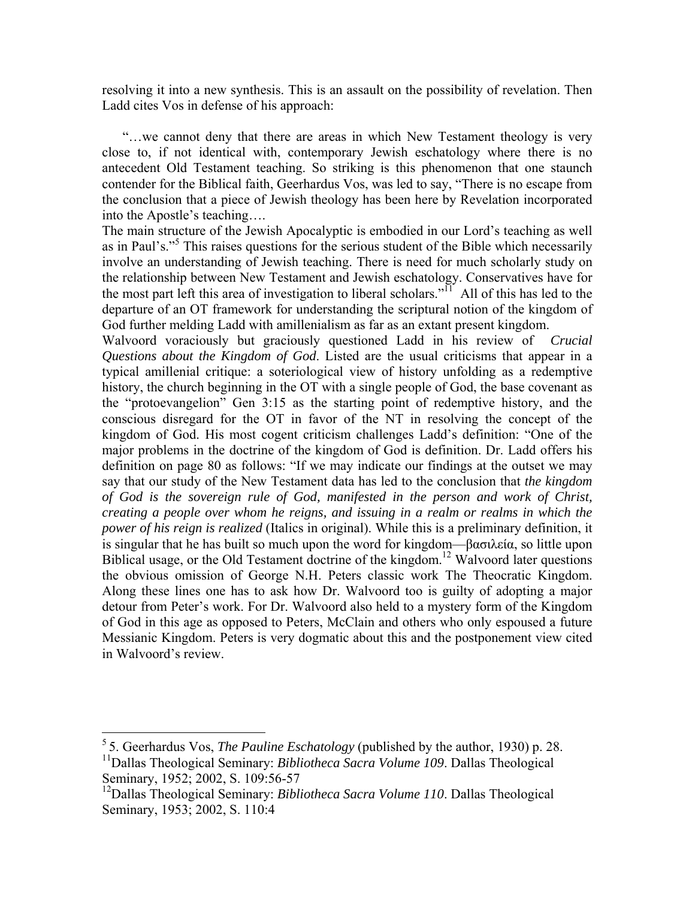resolving it into a new synthesis. This is an assault on the possibility of revelation. Then Ladd cites Vos in defense of his approach:

"…we cannot deny that there are areas in which New Testament theology is very close to, if not identical with, contemporary Jewish eschatology where there is no antecedent Old Testament teaching. So striking is this phenomenon that one staunch contender for the Biblical faith, Geerhardus Vos, was led to say, "There is no escape from the conclusion that a piece of Jewish theology has been here by Revelation incorporated into the Apostle's teaching….

The main structure of the Jewish Apocalyptic is embodied in our Lord's teaching as well as in Paul's."<sup>5</sup> This raises questions for the serious student of the Bible which necessarily involve an understanding of Jewish teaching. There is need for much scholarly study on the relationship between New Testament and Jewish eschatology. Conservatives have for the most part left this area of investigation to liberal scholars." $\overline{1}$  All of this has led to the departure of an OT framework for understanding the scriptural notion of the kingdom of God further melding Ladd with amillenialism as far as an extant present kingdom.

Walvoord voraciously but graciously questioned Ladd in his review of *Crucial Questions about the Kingdom of God*. Listed are the usual criticisms that appear in a typical amillenial critique: a soteriological view of history unfolding as a redemptive history, the church beginning in the OT with a single people of God, the base covenant as the "protoevangelion" Gen 3:15 as the starting point of redemptive history, and the conscious disregard for the OT in favor of the NT in resolving the concept of the kingdom of God. His most cogent criticism challenges Ladd's definition: "One of the major problems in the doctrine of the kingdom of God is definition. Dr. Ladd offers his definition on page 80 as follows: "If we may indicate our findings at the outset we may say that our study of the New Testament data has led to the conclusion that *the kingdom of God is the sovereign rule of God, manifested in the person and work of Christ, creating a people over whom he reigns, and issuing in a realm or realms in which the power of his reign is realized* (Italics in original). While this is a preliminary definition, it is singular that he has built so much upon the word for kingdom—βασιλεία, so little upon Biblical usage, or the Old Testament doctrine of the kingdom.<sup>12</sup> Walvoord later questions the obvious omission of George N.H. Peters classic work The Theocratic Kingdom. Along these lines one has to ask how Dr. Walvoord too is guilty of adopting a major detour from Peter's work. For Dr. Walvoord also held to a mystery form of the Kingdom of God in this age as opposed to Peters, McClain and others who only espoused a future Messianic Kingdom. Peters is very dogmatic about this and the postponement view cited in Walvoord's review.

1

<sup>5 5.</sup> Geerhardus Vos, *The Pauline Eschatology* (published by the author, 1930) p. 28. 11Dallas Theological Seminary: *Bibliotheca Sacra Volume 109*. Dallas Theological Seminary, 1952; 2002, S. 109:56-57

<sup>12</sup>Dallas Theological Seminary: *Bibliotheca Sacra Volume 110*. Dallas Theological Seminary, 1953; 2002, S. 110:4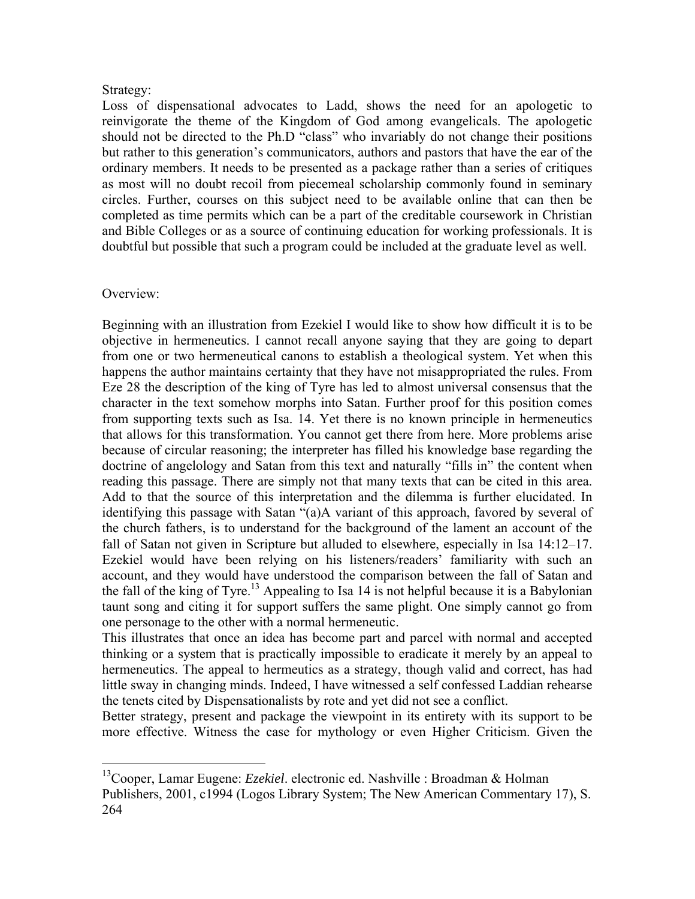## Strategy:

Loss of dispensational advocates to Ladd, shows the need for an apologetic to reinvigorate the theme of the Kingdom of God among evangelicals. The apologetic should not be directed to the Ph.D "class" who invariably do not change their positions but rather to this generation's communicators, authors and pastors that have the ear of the ordinary members. It needs to be presented as a package rather than a series of critiques as most will no doubt recoil from piecemeal scholarship commonly found in seminary circles. Further, courses on this subject need to be available online that can then be completed as time permits which can be a part of the creditable coursework in Christian and Bible Colleges or as a source of continuing education for working professionals. It is doubtful but possible that such a program could be included at the graduate level as well.

## Overview:

1

Beginning with an illustration from Ezekiel I would like to show how difficult it is to be objective in hermeneutics. I cannot recall anyone saying that they are going to depart from one or two hermeneutical canons to establish a theological system. Yet when this happens the author maintains certainty that they have not misappropriated the rules. From Eze 28 the description of the king of Tyre has led to almost universal consensus that the character in the text somehow morphs into Satan. Further proof for this position comes from supporting texts such as Isa. 14. Yet there is no known principle in hermeneutics that allows for this transformation. You cannot get there from here. More problems arise because of circular reasoning; the interpreter has filled his knowledge base regarding the doctrine of angelology and Satan from this text and naturally "fills in" the content when reading this passage. There are simply not that many texts that can be cited in this area. Add to that the source of this interpretation and the dilemma is further elucidated. In identifying this passage with Satan "(a)A variant of this approach, favored by several of the church fathers, is to understand for the background of the lament an account of the fall of Satan not given in Scripture but alluded to elsewhere, especially in Isa 14:12–17. Ezekiel would have been relying on his listeners/readers' familiarity with such an account, and they would have understood the comparison between the fall of Satan and the fall of the king of Tyre.<sup>13</sup> Appealing to Isa 14 is not helpful because it is a Babylonian taunt song and citing it for support suffers the same plight. One simply cannot go from one personage to the other with a normal hermeneutic.

This illustrates that once an idea has become part and parcel with normal and accepted thinking or a system that is practically impossible to eradicate it merely by an appeal to hermeneutics. The appeal to hermeutics as a strategy, though valid and correct, has had little sway in changing minds. Indeed, I have witnessed a self confessed Laddian rehearse the tenets cited by Dispensationalists by rote and yet did not see a conflict.

Better strategy, present and package the viewpoint in its entirety with its support to be more effective. Witness the case for mythology or even Higher Criticism. Given the

<sup>13</sup>Cooper, Lamar Eugene: *Ezekiel*. electronic ed. Nashville : Broadman & Holman Publishers, 2001, c1994 (Logos Library System; The New American Commentary 17), S. 264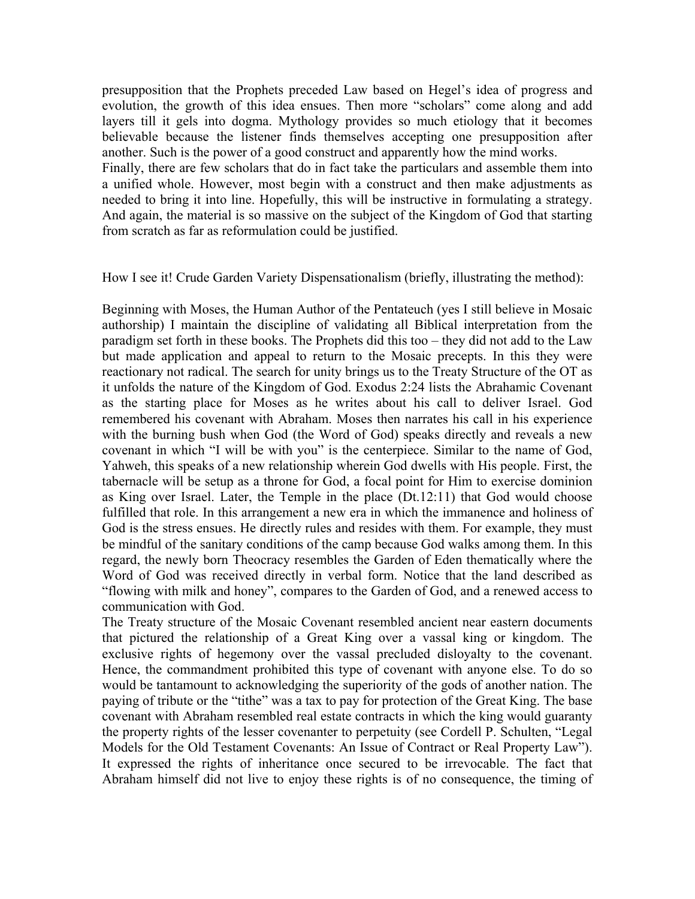presupposition that the Prophets preceded Law based on Hegel's idea of progress and evolution, the growth of this idea ensues. Then more "scholars" come along and add layers till it gels into dogma. Mythology provides so much etiology that it becomes believable because the listener finds themselves accepting one presupposition after another. Such is the power of a good construct and apparently how the mind works. Finally, there are few scholars that do in fact take the particulars and assemble them into a unified whole. However, most begin with a construct and then make adjustments as needed to bring it into line. Hopefully, this will be instructive in formulating a strategy. And again, the material is so massive on the subject of the Kingdom of God that starting from scratch as far as reformulation could be justified.

How I see it! Crude Garden Variety Dispensationalism (briefly, illustrating the method):

Beginning with Moses, the Human Author of the Pentateuch (yes I still believe in Mosaic authorship) I maintain the discipline of validating all Biblical interpretation from the paradigm set forth in these books. The Prophets did this too – they did not add to the Law but made application and appeal to return to the Mosaic precepts. In this they were reactionary not radical. The search for unity brings us to the Treaty Structure of the OT as it unfolds the nature of the Kingdom of God. Exodus 2:24 lists the Abrahamic Covenant as the starting place for Moses as he writes about his call to deliver Israel. God remembered his covenant with Abraham. Moses then narrates his call in his experience with the burning bush when God (the Word of God) speaks directly and reveals a new covenant in which "I will be with you" is the centerpiece. Similar to the name of God, Yahweh, this speaks of a new relationship wherein God dwells with His people. First, the tabernacle will be setup as a throne for God, a focal point for Him to exercise dominion as King over Israel. Later, the Temple in the place (Dt.12:11) that God would choose fulfilled that role. In this arrangement a new era in which the immanence and holiness of God is the stress ensues. He directly rules and resides with them. For example, they must be mindful of the sanitary conditions of the camp because God walks among them. In this regard, the newly born Theocracy resembles the Garden of Eden thematically where the Word of God was received directly in verbal form. Notice that the land described as "flowing with milk and honey", compares to the Garden of God, and a renewed access to communication with God.

The Treaty structure of the Mosaic Covenant resembled ancient near eastern documents that pictured the relationship of a Great King over a vassal king or kingdom. The exclusive rights of hegemony over the vassal precluded disloyalty to the covenant. Hence, the commandment prohibited this type of covenant with anyone else. To do so would be tantamount to acknowledging the superiority of the gods of another nation. The paying of tribute or the "tithe" was a tax to pay for protection of the Great King. The base covenant with Abraham resembled real estate contracts in which the king would guaranty the property rights of the lesser covenanter to perpetuity (see Cordell P. Schulten, "Legal Models for the Old Testament Covenants: An Issue of Contract or Real Property Law"). It expressed the rights of inheritance once secured to be irrevocable. The fact that Abraham himself did not live to enjoy these rights is of no consequence, the timing of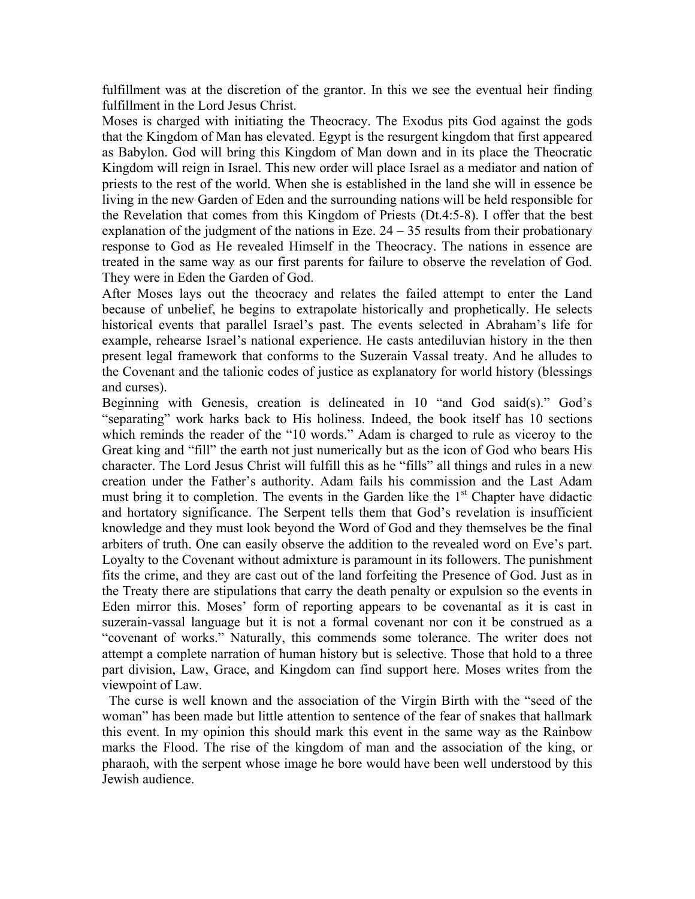fulfillment was at the discretion of the grantor. In this we see the eventual heir finding fulfillment in the Lord Jesus Christ.

Moses is charged with initiating the Theocracy. The Exodus pits God against the gods that the Kingdom of Man has elevated. Egypt is the resurgent kingdom that first appeared as Babylon. God will bring this Kingdom of Man down and in its place the Theocratic Kingdom will reign in Israel. This new order will place Israel as a mediator and nation of priests to the rest of the world. When she is established in the land she will in essence be living in the new Garden of Eden and the surrounding nations will be held responsible for the Revelation that comes from this Kingdom of Priests (Dt.4:5-8). I offer that the best explanation of the judgment of the nations in Eze.  $24 - 35$  results from their probationary response to God as He revealed Himself in the Theocracy. The nations in essence are treated in the same way as our first parents for failure to observe the revelation of God. They were in Eden the Garden of God.

After Moses lays out the theocracy and relates the failed attempt to enter the Land because of unbelief, he begins to extrapolate historically and prophetically. He selects historical events that parallel Israel's past. The events selected in Abraham's life for example, rehearse Israel's national experience. He casts antediluvian history in the then present legal framework that conforms to the Suzerain Vassal treaty. And he alludes to the Covenant and the talionic codes of justice as explanatory for world history (blessings and curses).

Beginning with Genesis, creation is delineated in 10 "and God said(s)." God's "separating" work harks back to His holiness. Indeed, the book itself has 10 sections which reminds the reader of the "10 words." Adam is charged to rule as viceroy to the Great king and "fill" the earth not just numerically but as the icon of God who bears His character. The Lord Jesus Christ will fulfill this as he "fills" all things and rules in a new creation under the Father's authority. Adam fails his commission and the Last Adam must bring it to completion. The events in the Garden like the  $1<sup>st</sup>$  Chapter have didactic and hortatory significance. The Serpent tells them that God's revelation is insufficient knowledge and they must look beyond the Word of God and they themselves be the final arbiters of truth. One can easily observe the addition to the revealed word on Eve's part. Loyalty to the Covenant without admixture is paramount in its followers. The punishment fits the crime, and they are cast out of the land forfeiting the Presence of God. Just as in the Treaty there are stipulations that carry the death penalty or expulsion so the events in Eden mirror this. Moses' form of reporting appears to be covenantal as it is cast in suzerain-vassal language but it is not a formal covenant nor con it be construed as a "covenant of works." Naturally, this commends some tolerance. The writer does not attempt a complete narration of human history but is selective. Those that hold to a three part division, Law, Grace, and Kingdom can find support here. Moses writes from the viewpoint of Law.

 The curse is well known and the association of the Virgin Birth with the "seed of the woman" has been made but little attention to sentence of the fear of snakes that hallmark this event. In my opinion this should mark this event in the same way as the Rainbow marks the Flood. The rise of the kingdom of man and the association of the king, or pharaoh, with the serpent whose image he bore would have been well understood by this Jewish audience.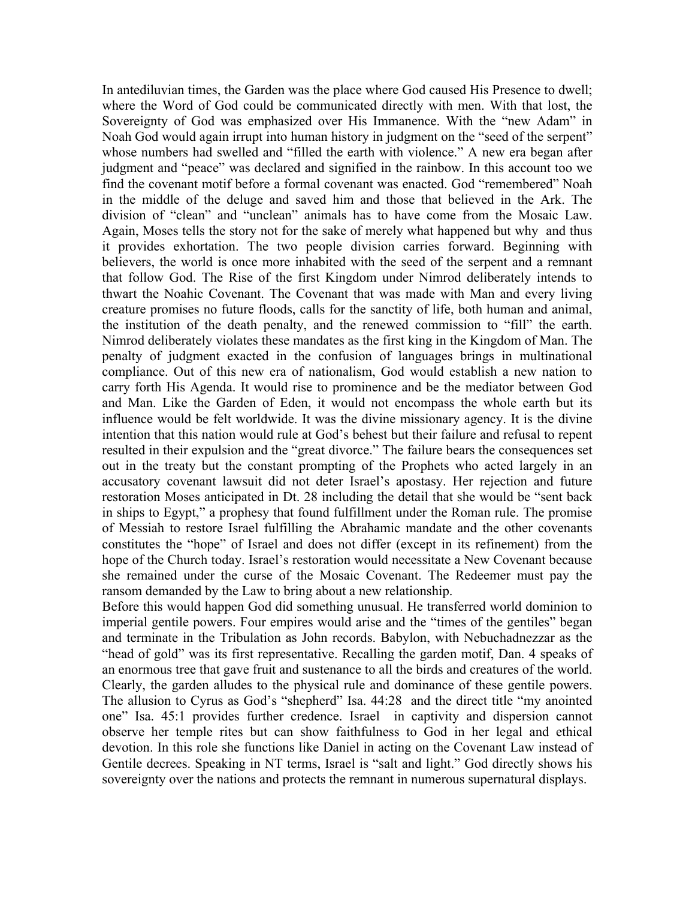In antediluvian times, the Garden was the place where God caused His Presence to dwell; where the Word of God could be communicated directly with men. With that lost, the Sovereignty of God was emphasized over His Immanence. With the "new Adam" in Noah God would again irrupt into human history in judgment on the "seed of the serpent" whose numbers had swelled and "filled the earth with violence." A new era began after judgment and "peace" was declared and signified in the rainbow. In this account too we find the covenant motif before a formal covenant was enacted. God "remembered" Noah in the middle of the deluge and saved him and those that believed in the Ark. The division of "clean" and "unclean" animals has to have come from the Mosaic Law. Again, Moses tells the story not for the sake of merely what happened but why and thus it provides exhortation. The two people division carries forward. Beginning with believers, the world is once more inhabited with the seed of the serpent and a remnant that follow God. The Rise of the first Kingdom under Nimrod deliberately intends to thwart the Noahic Covenant. The Covenant that was made with Man and every living creature promises no future floods, calls for the sanctity of life, both human and animal, the institution of the death penalty, and the renewed commission to "fill" the earth. Nimrod deliberately violates these mandates as the first king in the Kingdom of Man. The penalty of judgment exacted in the confusion of languages brings in multinational compliance. Out of this new era of nationalism, God would establish a new nation to carry forth His Agenda. It would rise to prominence and be the mediator between God and Man. Like the Garden of Eden, it would not encompass the whole earth but its influence would be felt worldwide. It was the divine missionary agency. It is the divine intention that this nation would rule at God's behest but their failure and refusal to repent resulted in their expulsion and the "great divorce." The failure bears the consequences set out in the treaty but the constant prompting of the Prophets who acted largely in an accusatory covenant lawsuit did not deter Israel's apostasy. Her rejection and future restoration Moses anticipated in Dt. 28 including the detail that she would be "sent back in ships to Egypt," a prophesy that found fulfillment under the Roman rule. The promise of Messiah to restore Israel fulfilling the Abrahamic mandate and the other covenants constitutes the "hope" of Israel and does not differ (except in its refinement) from the hope of the Church today. Israel's restoration would necessitate a New Covenant because she remained under the curse of the Mosaic Covenant. The Redeemer must pay the ransom demanded by the Law to bring about a new relationship.

Before this would happen God did something unusual. He transferred world dominion to imperial gentile powers. Four empires would arise and the "times of the gentiles" began and terminate in the Tribulation as John records. Babylon, with Nebuchadnezzar as the "head of gold" was its first representative. Recalling the garden motif, Dan. 4 speaks of an enormous tree that gave fruit and sustenance to all the birds and creatures of the world. Clearly, the garden alludes to the physical rule and dominance of these gentile powers. The allusion to Cyrus as God's "shepherd" Isa. 44:28 and the direct title "my anointed one" Isa. 45:1 provides further credence. Israel in captivity and dispersion cannot observe her temple rites but can show faithfulness to God in her legal and ethical devotion. In this role she functions like Daniel in acting on the Covenant Law instead of Gentile decrees. Speaking in NT terms, Israel is "salt and light." God directly shows his sovereignty over the nations and protects the remnant in numerous supernatural displays.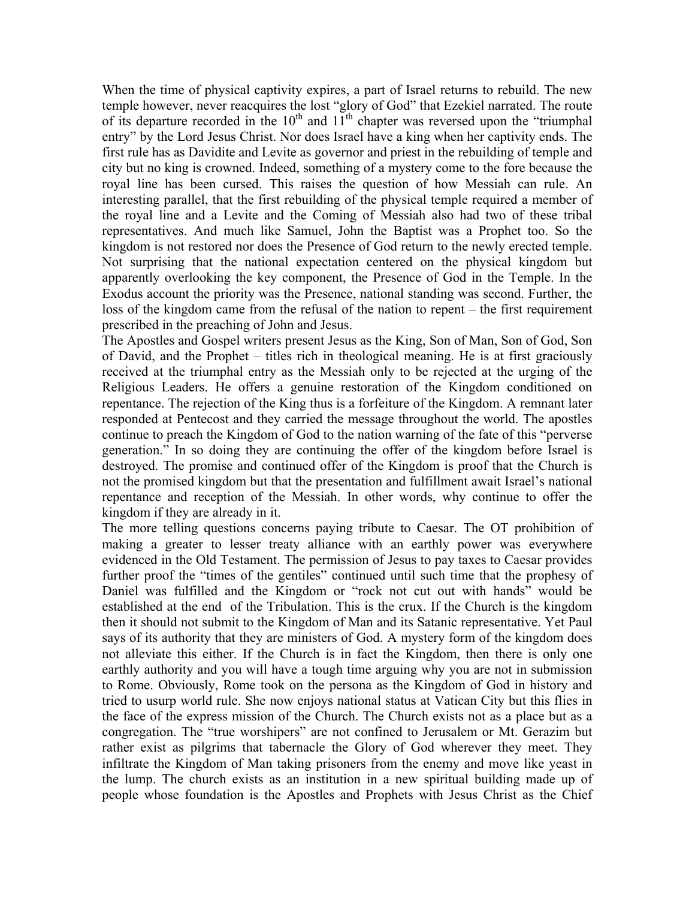When the time of physical captivity expires, a part of Israel returns to rebuild. The new temple however, never reacquires the lost "glory of God" that Ezekiel narrated. The route of its departure recorded in the  $10^{th}$  and  $11^{th}$  chapter was reversed upon the "triumphal" entry" by the Lord Jesus Christ. Nor does Israel have a king when her captivity ends. The first rule has as Davidite and Levite as governor and priest in the rebuilding of temple and city but no king is crowned. Indeed, something of a mystery come to the fore because the royal line has been cursed. This raises the question of how Messiah can rule. An interesting parallel, that the first rebuilding of the physical temple required a member of the royal line and a Levite and the Coming of Messiah also had two of these tribal representatives. And much like Samuel, John the Baptist was a Prophet too. So the kingdom is not restored nor does the Presence of God return to the newly erected temple. Not surprising that the national expectation centered on the physical kingdom but apparently overlooking the key component, the Presence of God in the Temple. In the Exodus account the priority was the Presence, national standing was second. Further, the loss of the kingdom came from the refusal of the nation to repent – the first requirement prescribed in the preaching of John and Jesus.

The Apostles and Gospel writers present Jesus as the King, Son of Man, Son of God, Son of David, and the Prophet – titles rich in theological meaning. He is at first graciously received at the triumphal entry as the Messiah only to be rejected at the urging of the Religious Leaders. He offers a genuine restoration of the Kingdom conditioned on repentance. The rejection of the King thus is a forfeiture of the Kingdom. A remnant later responded at Pentecost and they carried the message throughout the world. The apostles continue to preach the Kingdom of God to the nation warning of the fate of this "perverse generation." In so doing they are continuing the offer of the kingdom before Israel is destroyed. The promise and continued offer of the Kingdom is proof that the Church is not the promised kingdom but that the presentation and fulfillment await Israel's national repentance and reception of the Messiah. In other words, why continue to offer the kingdom if they are already in it.

The more telling questions concerns paying tribute to Caesar. The OT prohibition of making a greater to lesser treaty alliance with an earthly power was everywhere evidenced in the Old Testament. The permission of Jesus to pay taxes to Caesar provides further proof the "times of the gentiles" continued until such time that the prophesy of Daniel was fulfilled and the Kingdom or "rock not cut out with hands" would be established at the end of the Tribulation. This is the crux. If the Church is the kingdom then it should not submit to the Kingdom of Man and its Satanic representative. Yet Paul says of its authority that they are ministers of God. A mystery form of the kingdom does not alleviate this either. If the Church is in fact the Kingdom, then there is only one earthly authority and you will have a tough time arguing why you are not in submission to Rome. Obviously, Rome took on the persona as the Kingdom of God in history and tried to usurp world rule. She now enjoys national status at Vatican City but this flies in the face of the express mission of the Church. The Church exists not as a place but as a congregation. The "true worshipers" are not confined to Jerusalem or Mt. Gerazim but rather exist as pilgrims that tabernacle the Glory of God wherever they meet. They infiltrate the Kingdom of Man taking prisoners from the enemy and move like yeast in the lump. The church exists as an institution in a new spiritual building made up of people whose foundation is the Apostles and Prophets with Jesus Christ as the Chief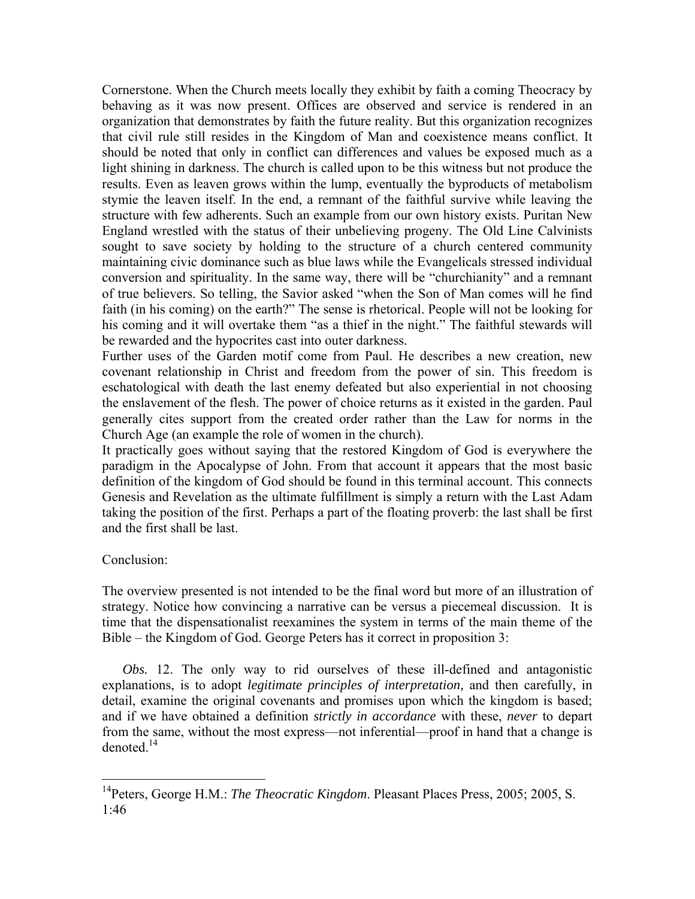Cornerstone. When the Church meets locally they exhibit by faith a coming Theocracy by behaving as it was now present. Offices are observed and service is rendered in an organization that demonstrates by faith the future reality. But this organization recognizes that civil rule still resides in the Kingdom of Man and coexistence means conflict. It should be noted that only in conflict can differences and values be exposed much as a light shining in darkness. The church is called upon to be this witness but not produce the results. Even as leaven grows within the lump, eventually the byproducts of metabolism stymie the leaven itself. In the end, a remnant of the faithful survive while leaving the structure with few adherents. Such an example from our own history exists. Puritan New England wrestled with the status of their unbelieving progeny. The Old Line Calvinists sought to save society by holding to the structure of a church centered community maintaining civic dominance such as blue laws while the Evangelicals stressed individual conversion and spirituality. In the same way, there will be "churchianity" and a remnant of true believers. So telling, the Savior asked "when the Son of Man comes will he find faith (in his coming) on the earth?" The sense is rhetorical. People will not be looking for his coming and it will overtake them "as a thief in the night." The faithful stewards will be rewarded and the hypocrites cast into outer darkness.

Further uses of the Garden motif come from Paul. He describes a new creation, new covenant relationship in Christ and freedom from the power of sin. This freedom is eschatological with death the last enemy defeated but also experiential in not choosing the enslavement of the flesh. The power of choice returns as it existed in the garden. Paul generally cites support from the created order rather than the Law for norms in the Church Age (an example the role of women in the church).

It practically goes without saying that the restored Kingdom of God is everywhere the paradigm in the Apocalypse of John. From that account it appears that the most basic definition of the kingdom of God should be found in this terminal account. This connects Genesis and Revelation as the ultimate fulfillment is simply a return with the Last Adam taking the position of the first. Perhaps a part of the floating proverb: the last shall be first and the first shall be last.

# Conclusion:

 $\overline{a}$ 

The overview presented is not intended to be the final word but more of an illustration of strategy. Notice how convincing a narrative can be versus a piecemeal discussion. It is time that the dispensationalist reexamines the system in terms of the main theme of the Bible – the Kingdom of God. George Peters has it correct in proposition 3:

*Obs.* 12. The only way to rid ourselves of these ill-defined and antagonistic explanations, is to adopt *legitimate principles of interpretation,* and then carefully, in detail, examine the original covenants and promises upon which the kingdom is based; and if we have obtained a definition *strictly in accordance* with these, *never* to depart from the same, without the most express—not inferential—proof in hand that a change is denoted $14$ 

<sup>&</sup>lt;sup>14</sup>Peters, George H.M.: *The Theocratic Kingdom*. Pleasant Places Press, 2005; 2005, S. 1:46